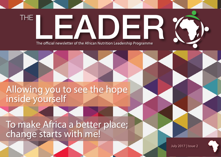# **THE** EADER

The official newsletter of the African Nutrition Leadership Programme

### Allowing you to see the hope inside yourself

[To make Africa a better place;](#page-6-0)  change starts with me!

July 2017 | Issue 2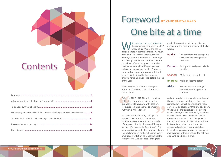### **Contents**

| My journey since the ALNP 2014: success, challenges, and the way forward8 |  |
|---------------------------------------------------------------------------|--|
|                                                                           |  |
|                                                                           |  |
|                                                                           |  |

## Foreword BY CHRISTINE TALJAARD

### One bite at a time

With June waving us goodbye and<br>the remaining six months of 2017<br>ahead of us, it's not the easiest<br>assignment to write this editorial. As much the remaining six months of 2017 ahead of us, it's not the easiest as I would like to think that we, the ANLP alumni, are at this point still full of energy and feeling positive and confident that no task ahead of us is too great, I think the reality may look a bit different. Many of us have no idea where the first 6 months went and we wonder how on earth it will be possible to finish the huge and evergrowing remaining workload before the end of the year.

At this conjuncture; let me draw your attention to the declaration of the 2017 ANLP alumni:

"We, the ANLP 2017 Alumni, commit to boldly lead from where we are; using our network to advocate with passion, for evidence-based change to improve nutrition in Africa for all."

As I read this declaration, I thought to myself, it's clear that this ambitious statement was not written in the middle of the year or it might have read "hang on for dear life – we are halfway there". But seriously, is it possible that for many alumni this declaration might have become overly ambitious words that no longer reflect the reality of life. As a scientist, I thought it

prudent to examine this further, digging deeper into the meaning of some of the key words:

| <b>Boldly:</b>  | In a confident and courageous<br>way; showing willingness to<br>take risks |
|-----------------|----------------------------------------------------------------------------|
| <b>Passion:</b> | Strong and barely controllable<br>emotion                                  |
| <b>Change:</b>  | Make or become different                                                   |
|                 | <b>Improve:</b> Make or become better                                      |
| Africa:         | The world's second-largest                                                 |

and second-most-populous continent

As I pondered over the simple meanings of the words above, I felt hope rising. I was reminded of the well-known saying "how do you eat an elephant? One bite at a time". While we all find ourselves to be beyond tired at times, we can (and must) take time to invest in ourselves. Read and reflect on the words above. I trust that you will find encouragement in the articles written by Leon, Jane, Johann and the invited writers to boldly and passionately lead from where you are, toward the change for improvement within Africa, and to eat your elephant, one bite at a time.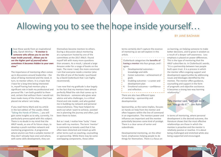### <span id="page-2-0"></span>Allowing you to see the hope inside yourself...

 $\prod_{h \in \mathcal{H}}$ love these words from an inspirational lady, Oprah Winfrey – *"A mentor is someone who allows you to see the hope inside yourself… Allows you to see the higher part of yourself when sometimes it becomes hidden to your own view."*

The importance of mentoring often comes up in discussions around leadership – the value of being mentored and the need, in turn, to mentor others. It is a topic that I have for a long time being interested in, myself having had mentors play a significant role in both my professional and personal life. I am both grateful to them and, certain that without them I would not have made many of the choices that have placed me where I am today.

If you read Henry Mark and my article in the last edition of The Leader, titled ['Taking the Hands of Others…',](http://www.africanutritionleadership.org/newsletters2/issue-1-2017 ) you will gain some insights as to why, currently, I'm particularly preoccupied with this subject. There is no doubt in my mind that the ANLP needs, as one of its future steps, to develop a youth nutrition network and mentoring programme. A programme where alumni can find a suitable mentor (if they don't already have one) and where, with some skills development, they can

themselves become mentors to others. During a discussion about mentoring at a symposium hosted by one of the committees at the 2017 ANLP, I found myself left with many more questions than answers. As a result, I placed a large Amazon order for a range of books on the topic. The more I read, the more convinced I am that everyone needs a mentor (also the title of one of the books I purchased by a David Clutterbuck that I can highly recommend).

I see now that my gratitude is due largely to the fact that my mentors have almost perfectly fitted the role that comes up in the literature - someone who gives wise advice and who challenges, is a critical friend and role model, and who guided me in building my network and personal resourcefulness. They have helped me work out what I want to achieve, assisted me in planning the journey and often, just been there to listen.

But as I read, I realise how 'lucky' I have been with my mentors. The term 'mentor' is commonly so loosely used that it has often been distorted and mixed up with other terms such as coaching, counselling or sponsorship. While there may be some overlapping components, these other

terms certainly don't capture the essence of mentoring as we will explore in this article.

Clutterbuck categorises the **benefits of having a mentor** into four groups, and I agree:

- 1. Developmental outcomes knowledge and skills
- 2. Career outcomes achievement of goals
- 3. Enabling outcomes a career and development plan
- 4. Emotional outcomes confidence and reflection.

There are also two different types of mentoring – sponsorship and developmental.

Sponsorship, as the name implies, focuses on hands-on help from the mentor and often happens within the line of command in an organisation. The mentors power and influence are important and the mentee potentially becomes some kind of protégé. There is a clear sense of senior and subordinate.

Developmental mentoring, on the other hand, emphasises helping people to do things for themselves. There is a focus on

### BY JANE BADHAM

co-learning, on helping someone to make better decisions, and to grow in wisdom as a result of a deeper self-awareness. Less emphasis is placed on power differences. This is the type of mentoring that the ANLP subscribes to. In Clutterbuck's words, "it is a partnership between two people built upon trust. It is a process in which the mentor offers ongoing support and development opportunities by addressing issues and blockages identified by the mentee. The mentor offers guidance, counselling and support in the form of pragmatic and objective assistance. It becomes a strong two-way learning relationship."

"My mentor said, 'Let's go do it', not 'You go do it'." - Jim Rohn

In terms of mentoring, where personal development is the desired outcome, the literature shows that the most effective relationships are those in which the mentee is proactive and the mentor is relatively passive or reactive. It is about being challenged and stretched while also being supported and encouraged.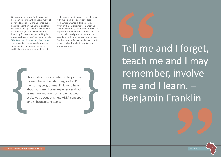On a continent where in the past, aid has been so dominant, I believe many of us have (even subtly and unconsciously) become reliant on the hand-out rather than the hand-up. We base so much on what we can get and always seem to be asking for something or looking for power and status (see The Leader article ['The Poison of Protocol and Per Diems'](http://www.africanutritionleadership.org/newsletters2/issue-2-2016)). This lends itself to leaning towards the sponsorship type mentoring. But as ANLP alumni, we need to be different

both in our expectations - change begins with me – and, our approach - lead from where we stand. This places us firmly in the developmental mentoring sphere. Mentoring that is concerned with implications beyond the task; that focusses on capability and potential; where the agenda is set by the mentee; emphasises feedback and reflection; and discussion is primarily about implicit, intuitive issues and behaviours.

This excites me as I continue the journey forward toward establishing an ANLP mentoring programme. I'd love to hear about your mentoring experiences (both as mentee and mentor) and what would excite you about this new ANLP concept – jane@jbconsultancy.co.za

Tell me and I forget, teach me and I may remember, involve me and I learn. – Benjamin Franklin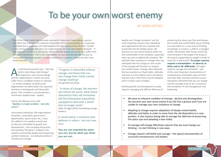### To be your own worst enemy

<span id="page-4-0"></span>One of the most instant and accurate summaries I have ever heard about a person was when the chairman of a selection committee, for a senior position at a university, remarked that a candidate just interviewed is his own worst enemy. He said: "Gerald is one of those people who does not need enemies. He is his own largest obstacle". If you apply your mind to it, you will be able to identify people you know who suffer from the same impediment. This is not a description of a personality disorder but just an observation that some people, in some situations or occasions, tend to be their own worst enemies.

An old Chinese proverb says: *"The only truth is that things shall change".* All organisms, even human beings and the organisations in which we work, suffer from a condition known as 'entropy' – an innate condition of decline and degeneration (to deteriorate into a groove) and then to disintegrate and decay (the grave). This condition is accelerated by a commonly coupled state – apathy.

#### Dennis the Menace once said:  *"Apathy is a major problem – but who cares?"*

Fortunately individuals, like organisations (hospitals, universities, government departments, sports teams etc.), have the ability to turn apathy around and to become committed to growth and development – thus escaping the groove and avoiding "the grave". However, this requires overcoming apathy and conquering another hindrance - our default position of resistance to change.

"Progress is impossible without change, and those that cannot change their minds cannot change anything" George Bernard Shaw

"In times of change, the learners will inherit the earth, while those attached to their old certainties will find themselves beautifully equipped to deal with a world that no longer exists" Aiken & Higgs (2010; Developing change leaders)

A conservative is someone who believes in reform - but not now. Anon

**You are not impeded by what you are, but by what you think you are not.**

#### BY LEON COETSEE

Apathy and 'change resistance' are the most important reasons why individuals and organisations fall into a groove and eventually into the deeper grave. We become our own worst enemies when we feel comfortable in this condition, especially when we start to defend this situation. We typically have resistance to change when we anticipate that the change (or the results of the change) will threaten or impede our comfort zones. Change often demands that we question our fixed habits, attitudes and even our firm beliefs and it sometimes requires more: that these must be adapted and in certain cases changed.

Positive growth and development usually requires managing the difficult dilemma of preserving the status quo (the well-known, the trusted and comfortable) versus shifting to a new state (i.e. a new way of thinking and doing). In essence, a shift to a changed reality. Remember that Tarzan could only move forward in the jungle if he let go of the branch supporting his weight in order to reach for a new branch. **To escape a groove requires a reorientation – to observe, to** 

**think, and to 'do' differently.** This again requires courage and self-belief – two of the most important characteristics of entrepreneurs and leaders who are their own best allies and who achieve success. Having the self-belief that you can change and the courage to do so are, in essence, the foundation of self-management and leadership.

- We have an inherent condition of entropy decline and disintegration. You become your own worst enemy if you fall into a groove and if you are unable to manage your own resistance to change
- Adapting to change requires adaptation of deeply rooted beliefs, attitudes and habits in order to move from the old disposition to a new position. It also requires being able to manage the dilemma of preserving the status quo and adopting a new reality
- To manage self-change effectively requires that we must change our thinking – to start thinking in new ways.
- Change requires self-belief and courage the typical characteristics of successful entrepreneurs and leaders.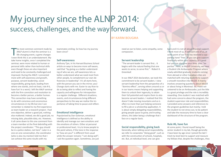### <span id="page-5-0"></span>My journey since the ALNP 2014: success, challenges, and the way forward.

The most common comment made by<br>ANLP alumni is that the seminar is a<br>life changing event, a game changer.<br>I even think this is an understatement. My he most common comment made by ANLP alumni is that the seminar is a life changing event, a game changer. take home insights, once I completed the seminar, were more related to human or personal skills rather than technical skills even though these are also important and need to be constantly challenged and improved. During the ANLP, I connected more with self-awareness and growth, purpose, servant leadership, social responsibility, giving-back, leading from where one stands, and not least, rule #6. have fun! In a word, I left the ANLP seminar with the firm conviction and resolution to become a better person, a better human. This connection may have something to do with conscious and unconscious circumstances in my life but one I can remember is related to my first experience as team leader on a research project. I had one objective, deliver a good job, nothing else mattered. Indeed, we did a good job, no missing data, plausible data, etc. However, it all came down to this one comment from a team member at the final debriefing with the project coordinator: ''This guy should be in a police station, not here''. Later in a one-on-one conversation, the coordinator (who is also my mentor) told me that I can achieve the same results with my

teammates smiling. So how has my journey been since?

#### **Self-awareness**

Anthony Tjan, in his Harvard Business School article on ways to become more self-aware, said that ''by giving us a better understanding of who we are, self-awareness lets us better understand what we need most from other people, to complement our own deficiencies in leadership". It's all starts here, with the person you see in the mirror, you! Change starts with me. Easier to say than to do as being able to reflect and having the capacity and willingness for introspection is a regular challenge. Different situations, events, and circumstances bring different perspectives to the way we realise the importance of taking time to pause and reflect.

#### **Emotional intelligence**

Popularized by Dan Goleman, emotional intelligence is defined as the ability to identify and manage our own emotions and the emotions of others. Either at personal or professional level, I try to know people to the point where, if the tone in the response to 'how are you?' is different from usual while the answer remains "I am doing well", I ask the question again. Sometimes, we just need an ear to listen, some empathy, some compassion.

#### **Servant leadership**

BY KARIM BOUGMA

"The servant-leader is servant first… It begins with the natural feeling that one wants to serve, to serve first." - Robert K. Greenleaf.

In our ANLP 2014 declaration, we took this commitment to be servant leaders. I view servant leadership from the perspective of a ''domino effect'', serving others around us or in our teams means helping and supporting them to unlock their ingenuity, to attain their full potential and inspire them to also become servant leaders. I realized that this doesn't take moving mountains and as is often no more than just helping someone to fill a job or a scholarship application. It is about simply delegating responsibilities, giving people space to grow, and trusting others, this latter being a challenge that I face on a regular basis.

#### **Social responsibility, giving back**

Generally, when talking social responsibility, we refer to corporates ''doing good'', such as with the construction of schools, hospitals, etc. But, at individual level, one can give

back and it is not all about financial support. I think most of us, if not each one of us, at some point of our lives has received a supporting hand ''free''. If you can give support financially within your capacity, it is good but you can also give your time, your ''expertise''. Here, at McGill University, we have a Student Life Ambassador Program where newly-admitted graduate students coming from abroad or other Canadian cities are matched with retuning students to support a smooth transition into McGill. It mainly involves answering questions about McGill or about living in Montreal. So, I have volunteered to be an Ambassador, just the title is a great privilege and the role is incredibly rewarding. One student I was matched with had some concerns about the program, the student-supervisor role and responsibilities. I provided some answers and references to the program guidelines but mainly, I told the student to not stress out, to be patient and take the necessary time to have a clear dashboard of the structure of the program.

#### **Rule #6, have fun**

At some point, I found myself being the senior student in my lab, though generally I have been by age since I joined the lab! I tried my level best to support and reassure my fellows that, despite the challenges, they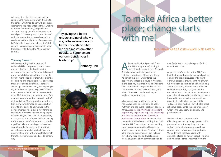<span id="page-6-0"></span>will make it, mainly the challenge of the comprehensive exam. So, when it came to the school Christmas dinner with our supervisor saying she will pay for all those wishing to attend, I immediately jumped in as a ''dictator'' saying that it is mandatory that we all go. This was my way to push forward with the team spirit, to move beyond the academic to the social level of engagement. Let's have fun! (And Jane, please don't tell anyone that you saw me dancing Ethiopian traditional style during the Micronutrient Forum).

#### **The way forward**

While recognizing the importance of technical skills, I purposely chose to focus my contribution to the Leader on the developmental journey I've undertaken with my personal skills and abilities. I certainly haven't mentioned all of them. It is a continual learning and growing process to practice these skills and to own them. There are always ups and downs in my journey but giving up are not an option. My major achievement since the ANLP 2014 is the completion of my PhD. After my oral defense, one of my mentors ask me what I will do with my PhD as it a privilege. Teaching and supervision is high in my consideration as a contribution, a way to give back. Being involved in the development sector is also a way for me to contribute directly to the well-being of populations. Maybe I will have the opportunity to progress in both of these fields, following the steps of some of my mentors. I consider myself as lucky and privileged to have had several wonderful mentors. I know that I am not alone when facing challenges and uncertainties, and I will undoubtedly benefit from their experience and advice to light my way.

"by giving us a better<br>understanding of who we **With me!** understanding of who we are, self-awareness lets us better understand what we need most from other people, to complement our own deficiencies in leadership''

#### - Anthony Tjan



## To make Africa a better place; change starts

#### BY HIBBAH ARABA OSEI-KWASI (NÉE SAEED)

**A** few months after I got back from<br>the ANLP programme/training, I<br>started work as a part-time Resear<br>Associate on a project exploring the the ANLP programme/training, I started work as a part-time Research Associate on a project exploring the nutrition transition in Ghana and Kenya. As part of this job, I was offered the opportunity to lead a module in Nutrition. In the past, my response would have been: "No. I don't think I'm qualified to do this. I've not even finished my PhD". But guess what? The ANLP transformed me, and so I gladly accepted the role.

My passion, as a nutrition researcher, has always been to contribute to better nutrition and the overall health of people in Africa. As such, the ANLP was an excellent opportunity to gain the requisite knowledge and skills to support me to become an ambassador for nutrition. However, after the ten intensive days of training, I realised that the ANLP was not just about teaching us to become organisational leaders or ambassadors for nutrition. Personally, it was a life-changing experience. I got to know myself; my strengths and weaknesses. I learnt to get out of my comfort zone and I

now feel there is no challenge in life that I cannot overcome.

After each day's session at the ANLP, we had the time and space to personally reflect on how the topics discussed linked with our own personal growth; to think of what we would like to start doing, keep on doing and to stop doing. I found these reflective sessions very useful, as it gave me the opportunity to think about my development plan: where I wanted to be, the next change I wanted to see in my life and what I was going to do to be able to achieve this. Today as a daily routine, I have built a short reflective session into the end of each day, which I find very useful personally and professionally.

We learnt how to communicate effectively, not just by using a power point presentation, but recognising the nonverbal communication we give with eye contact, body movements and gestures. We undertook vocal exercises, with emphasis placed on rate of speech, volume and inflection. Since I returned from the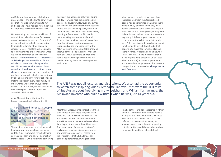ANLP, before I even prepare slides for a presentation, I first of all write down what it is that I want to communicate to my audience and I have realised how much this has improved my communication skills.

Understanding our own personal locus of control (internal and external focus) was one of my favourite sessions. For most of us, almost as if by default, we are quick to attribute failure to other people or external forces. Therefore, we are unable to look inwardly to critically analyse what we can do differently to achieve better results. I learnt from the ANLP that setbacks and challenges are inevitable in life. We will always have those colleagues who are difficult to work with; we may have complicated work systems that we cannot change. However, we can stay conscious of our locus of control –which is just achieved by taking responsibility for our actions and making the best of every opportunity. In other words, we cannot always change external circumstances, but we can choose how we respond to them. A positive attitude in life is crucial!

As W. Clement Stone, the American businessman and philanthropist, said:

"There is little difference in people, but that little difference makes a big difference. The little difference is attitude. The big difference is whether it is positive."

The sessions where we received personal feedback from our own team members and the ANLP team were very challenging as we could listen and ask for clarification from colleagues while refraining from trying

to explain our actions or behaviour during the day. It was so hard to be criticised by people I had just met. However, this turned out to be of one of the most useful sessions for me. For the remaining days, each team member tried to work on their weaknesses, resulting in fewer team conflicts and a better working environment all round. Today, as I work with a team of researchers from five different institutions around Europe and Africa, my experience at the ANLP makes me very comfortable knowing that we cannot all be the same. We each have our unique strengths, and for us to have a better working environment, we need to identify these and to complement each other.

later that day, I pondered over one thing that resonated from the stories shared: people had opportunities created for them along the way, and that's how they were able to overcome some of the challenges. I felt like I was one of the privileged few, who did not have to sell my home or possessions to pay my PhD fees or go to sleep at night on an empty stomach to be able to study for a PhD. I was inspired, I was touched, and I kept saying to myself: I want to be that opportunity maker for someone else out there in Africa. What can I do and how do I start? The ANLP made me realise that it is the responsibility of leaders (in this case all of us at ANLP) to create opportunities and we can be that generation that makes a change. But for us to do that, **change has to start from me.** 

The ANLP was not all lectures and discussions. We also had the opportunity to watch some inspiring videos. My particular favourites were the TED talks of Sue Austin about free-diving in a wheelchair, and William Kamkwanba, the Malawian inventor who built a windmill when he was just 14 years old.

After these videos, participants shared their own stories of challenges they had faced in life and how they overcame these. This was one of the most emotional moments at ANLP as several people shed tears when listening to others share their life stories. The lesson learnt for me was that one's background need not dictate who you are and what you can achieve. I realise from their narratives that all challenges can become opportunities. During reflection

Finally, at the 'Nutrition leadership in Africa' session, I learnt that if we want to achieve an impact and make a difference we must work on the skills needed for this. I have reflected on my area of expertise, and I am now ready to contribute to improving nutrition in Africa and the world as a whole. I am going to lead from where I stand!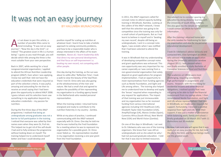### <span id="page-8-0"></span>It was not an easy journey

#### BY HALUMBA MUNACHONGA

s I sat down to pen this article, a<br>number of possible titles came to<br>imind including: "It was not an ea<br>journey": "Now the sky is the limit": or number of possible titles came to I mind including: "It was not an easy journey"; "Now the sky is the limit"; or indeed "The greatest asset in life is a human being". I guess as you read through, you will decide which title among the three is the most suitable from your own perspective.

Back in 2007, while working for a local nongovernmental organisation, I applied to attend the African Nutrition Leadership program (ANLP). Even when I was applying, I knew too well that I did not have the education credentials that were required as part of the selection criteria. It was joyful, amazing and astounding for me then to receive an email saying that I had been given the opportunity to attend ANLP 2008. I guess Johann and his selection team saw something in my application beyond my education credentials – my passion for nutrition.

During the first three days of the ANLP programme; I realised that being an undergraduate among graduates was not a barrier to full participation in the training. I noticed that everyone was called by their names even when they were Dr, Prof etc. This helped me to get rid of the self-doubt I had and to fully embrace the programme without looking down on myself. The training helped me to understand myself better and how I could develop and

position myself for scaling up nutrition at whatever level. I learnt how to take a holistic approach to solving community problems, and how to be a responsible leader who is always interested in the affairs of his team members. Above all, I learnt leadership skills that direct my own personal development, and that focus on self-improvement i.e. beating my own record, not competing with other people.

One day during the training, as the sun was about to settle after 'Reflection Time', I took a walk to view the beauty of the Vaal River. There I met Dr. Onno who was also gazing at the wholesomeness of the river and nature. We had a small chat and agreed to explore the possibility of him representing my organisation to a funding agency based in the Netherlands who needed personal representation.

When the training ended, I returned home energised and ready to contribute to the nutrition fraternity in my country - Zambia.

While at my place of practice, I continued communicating with the ANLP network especially with Dr. Onno. One day he told me that he was invited by the Fred Foundation for a meeting where he was to represent my organisation for a possible grant. Dr. Onno never failed us. His representation resulted in my organisation receiving a one year grant from the Fred Foundation.

In 2011, the ANLP organisers called for concept notes to attend capacity building training in Windhoek, Namibia. Looking at the calibre of the ANLP network, I knew well that the selection was going to be competitive since the training was only for a small cohort of participants. But as I had learnt to believe in myself and in 'beating my own record', despite still being an undergraduate, I sent in a concept note. Again, I was ecstatic when I was notified that I had been selected to attend the training.

It was in Windhoek that my understanding of developing competitive concept notes and grant applications was enhanced. This rare opportunity was very important for my career especially as I was coming from a non-governmental organisation that solely depend on grant applications for program implementation. I had an opportunity to meet representatives from funding agencies such as Nestle Foundation, and Sight and Life among others. The training also helped me to understand how to develop and apply the 'lenses' required when responding to any request for applications. The impact of that training was just immeasurable and my organisation has so far received funding from various international agencies including ViiV Healthcare (UK), Elizabeth Taylor Aids Foundation (USA), AmplifyChange (UK), Manos Unidas (Spain), Cummins Africa (South Africa), Next World Now (USA) and World Vision (Zambia).

On one of the days in Windhoek, I sat next to Dr. Edelweiss who was one of the training organisers. She knew that I was still an undergraduate and so she asked me why I had not pursued graduate education. I told her that it was due to limited resources.

She advised me to consider spacing my education by doing distance learning with the University of South Africa (UNISA). She also gave me the details of the person I could contact at UNISA for further information.

After the training I returned home with the skills needed for fundraising for both my organisation and also for my personal educational development.

I took Dr. Edelweiss's advice seriously and contacted Mrs. Elize Symington at UNISA who advised me to make an application during the University admission window (August 2011). I was pleased when I was finally enrolled to study Bachelor of Consumer Sciences in Food and Nutrition.

The academics at UNISA were most challenging, requiring consistently high performance in assignments and exams. However, with the travelling for residential lessons and other financial obligations, I realised quickly that I was not going to be able to fund the financial requirement from my savings alone. I then remembered Nestle Foundation, and Sight and Life whose representatives I had met in Windhoek, so I made some requests for support. Fortunately, I received a positive response from Sight and Life. With their support; it was just a matter of persistence while balancing work, family and school. I finally graduated on 30 March 2017 with 11 distinctions out 30 modules.

By now, I am sure you will agree that it was really not an easy journey for me, but now the sky is the limit, and human beings really are the greatest asset.